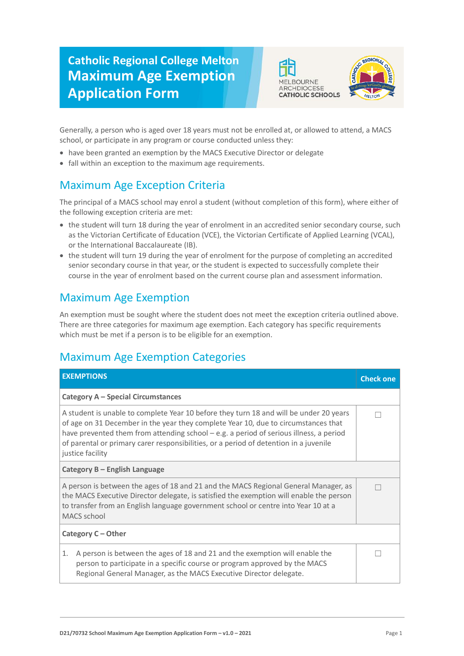## **Catholic Regional College Melton Maximum Age Exemption Application Form**





Generally, a person who is aged over 18 years must not be enrolled at, or allowed to attend, a MACS school, or participate in any program or course conducted unless they:

- have been granted an exemption by the MACS Executive Director or delegate
- fall within an exception to the maximum age requirements.

## Maximum Age Exception Criteria

The principal of a MACS school may enrol a student (without completion of this form), where either of the following exception criteria are met:

- the student will turn 18 during the year of enrolment in an accredited senior secondary course, such as the Victorian Certificate of Education (VCE), the Victorian Certificate of Applied Learning (VCAL), or the International Baccalaureate (IB).
- the student will turn 19 during the year of enrolment for the purpose of completing an accredited senior secondary course in that year, or the student is expected to successfully complete their course in the year of enrolment based on the current course plan and assessment information.

## Maximum Age Exemption

An exemption must be sought where the student does not meet the exception criteria outlined above. There are three categories for maximum age exemption. Each category has specific requirements which must be met if a person is to be eligible for an exemption.

## Maximum Age Exemption Categories

| <b>EXEMPTIONS</b>                                                                                                                                                                                                                                                                                                                                                                     | <b>Check one</b> |  |
|---------------------------------------------------------------------------------------------------------------------------------------------------------------------------------------------------------------------------------------------------------------------------------------------------------------------------------------------------------------------------------------|------------------|--|
| Category A - Special Circumstances                                                                                                                                                                                                                                                                                                                                                    |                  |  |
| A student is unable to complete Year 10 before they turn 18 and will be under 20 years<br>of age on 31 December in the year they complete Year 10, due to circumstances that<br>have prevented them from attending $school - e.g.$ a period of serious illness, a period<br>of parental or primary carer responsibilities, or a period of detention in a juvenile<br>justice facility |                  |  |
| Category B - English Language                                                                                                                                                                                                                                                                                                                                                         |                  |  |
| A person is between the ages of 18 and 21 and the MACS Regional General Manager, as<br>the MACS Executive Director delegate, is satisfied the exemption will enable the person<br>to transfer from an English language government school or centre into Year 10 at a<br>MACS school                                                                                                   |                  |  |
| Category C - Other                                                                                                                                                                                                                                                                                                                                                                    |                  |  |
| A person is between the ages of 18 and 21 and the exemption will enable the<br>1.<br>person to participate in a specific course or program approved by the MACS<br>Regional General Manager, as the MACS Executive Director delegate.                                                                                                                                                 |                  |  |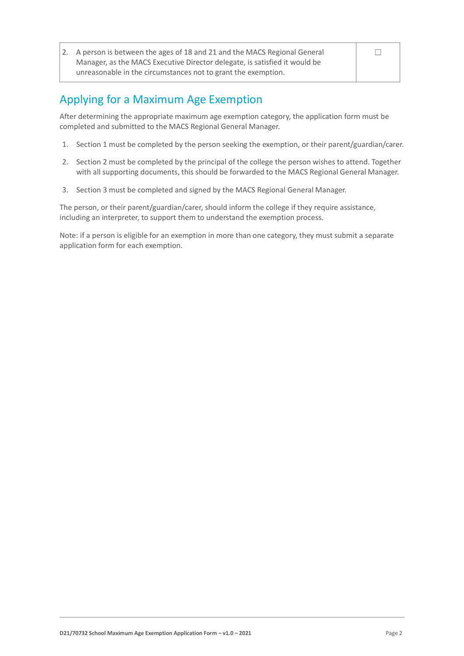| 2. A person is between the ages of 18 and 21 and the MACS Regional General |  |
|----------------------------------------------------------------------------|--|
| Manager, as the MACS Executive Director delegate, is satisfied it would be |  |
| unreasonable in the circumstances not to grant the exemption.              |  |

## Applying for a Maximum Age Exemption

After determining the appropriate maximum age exemption category, the application form must be completed and submitted to the MACS Regional General Manager.

- 1. Section 1 must be completed by the person seeking the exemption, or their parent/guardian/carer.
- 2. Section 2 must be completed by the principal of the college the person wishes to attend. Together with all supporting documents, this should be forwarded to the MACS Regional General Manager.
- 3. Section 3 must be completed and signed by the MACS Regional General Manager.

The person, or their parent/guardian/carer, should inform the college if they require assistance, including an interpreter, to support them to understand the exemption process.

Note: if a person is eligible for an exemption in more than one category, they must submit a separate application form for each exemption.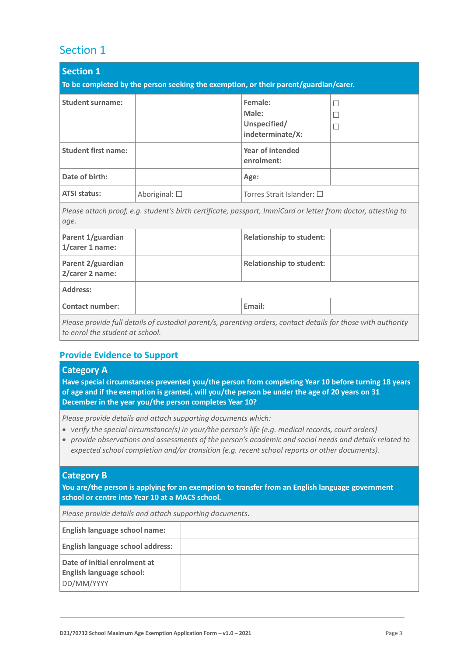### Section 1

| <b>Section 1</b><br>To be completed by the person seeking the exemption, or their parent/guardian/carer. |                                                                                                               |                                                      |             |
|----------------------------------------------------------------------------------------------------------|---------------------------------------------------------------------------------------------------------------|------------------------------------------------------|-------------|
| <b>Student surname:</b>                                                                                  |                                                                                                               | Female:<br>Male:<br>Unspecified/<br>indeterminate/X: | П<br>П<br>П |
| <b>Student first name:</b>                                                                               |                                                                                                               | <b>Year of intended</b><br>enrolment:                |             |
| Date of birth:                                                                                           |                                                                                                               | Age:                                                 |             |
| <b>ATSI status:</b>                                                                                      | Aboriginal: $\square$                                                                                         | Torres Strait Islander: $\square$                    |             |
| age.                                                                                                     | Please attach proof, e.g. student's birth certificate, passport, ImmiCard or letter from doctor, attesting to |                                                      |             |
| Parent 1/guardian<br>1/carer 1 name:                                                                     |                                                                                                               | <b>Relationship to student:</b>                      |             |
| Parent 2/guardian<br>2/carer 2 name:                                                                     |                                                                                                               | <b>Relationship to student:</b>                      |             |
| Address:                                                                                                 |                                                                                                               |                                                      |             |
| <b>Contact number:</b>                                                                                   |                                                                                                               | Email:                                               |             |
| to enrol the student at school.                                                                          | Please provide full details of custodial parent/s, parenting orders, contact details for those with authority |                                                      |             |

#### **Provide Evidence to Support**

#### **Category A**

**Have special circumstances prevented you/the person from completing Year 10 before turning 18 years of age and if the exemption is granted, will you/the person be under the age of 20 years on 31 December in the year you/the person completes Year 10?**

*Please provide details and attach supporting documents which:*

- *verify the special circumstance(s) in your/the person's life (e.g. medical records, court orders)*
- *provide observations and assessments of the person's academic and social needs and details related to expected school completion and/or transition (e.g. recent school reports or other documents).*

#### **Category B**

**You are/the person is applying for an exemption to transfer from an English language government school or centre into Year 10 at a MACS school.**

*Please provide details and attach supporting documents.*

| <b>English language school name:</b>                                          |  |
|-------------------------------------------------------------------------------|--|
| <b>English language school address:</b>                                       |  |
| Date of initial enrolment at<br><b>English language school:</b><br>DD/MM/YYYY |  |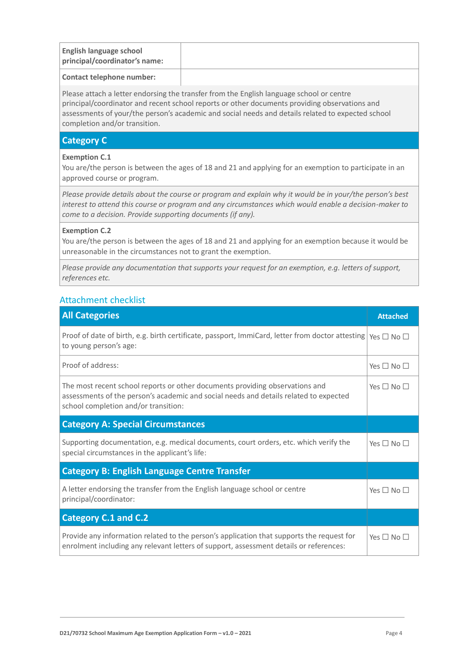| <b>English language school</b><br>principal/coordinator's name: |  |
|-----------------------------------------------------------------|--|
|                                                                 |  |
|                                                                 |  |

#### **Contact telephone number:**

Please attach a letter endorsing the transfer from the English language school or centre principal/coordinator and recent school reports or other documents providing observations and assessments of your/the person's academic and social needs and details related to expected school completion and/or transition.

#### **Category C**

#### **Exemption C.1**

You are/the person is between the ages of 18 and 21 and applying for an exemption to participate in an approved course or program.

*Please provide details about the course or program and explain why it would be in your/the person's best interest to attend this course or program and any circumstances which would enable a decision-maker to come to a decision. Provide supporting documents (if any).*

#### **Exemption C.2**

You are/the person is between the ages of 18 and 21 and applying for an exemption because it would be unreasonable in the circumstances not to grant the exemption.

*Please provide any documentation that supports your request for an exemption, e.g. letters of support, references etc.*

#### Attachment checklist

| <b>All Categories</b>                                                                                                                                                                                         | <b>Attached</b>      |
|---------------------------------------------------------------------------------------------------------------------------------------------------------------------------------------------------------------|----------------------|
| Proof of date of birth, e.g. birth certificate, passport, ImmiCard, letter from doctor attesting $\gamma$ es $\Box$ No $\Box$<br>to young person's age:                                                       |                      |
| Proof of address:                                                                                                                                                                                             | Yes $\Box$ No $\Box$ |
| The most recent school reports or other documents providing observations and<br>assessments of the person's academic and social needs and details related to expected<br>school completion and/or transition: | Yes $\Box$ No $\Box$ |
| <b>Category A: Special Circumstances</b>                                                                                                                                                                      |                      |
| Supporting documentation, e.g. medical documents, court orders, etc. which verify the<br>special circumstances in the applicant's life:                                                                       | Yes $\Box$ No $\Box$ |
| <b>Category B: English Language Centre Transfer</b>                                                                                                                                                           |                      |
| A letter endorsing the transfer from the English language school or centre<br>principal/coordinator:                                                                                                          | Yes $\Box$ No $\Box$ |
| <b>Category C.1 and C.2</b>                                                                                                                                                                                   |                      |
| Provide any information related to the person's application that supports the request for<br>enrolment including any relevant letters of support, assessment details or references:                           | Yes $\Box$ No $\Box$ |